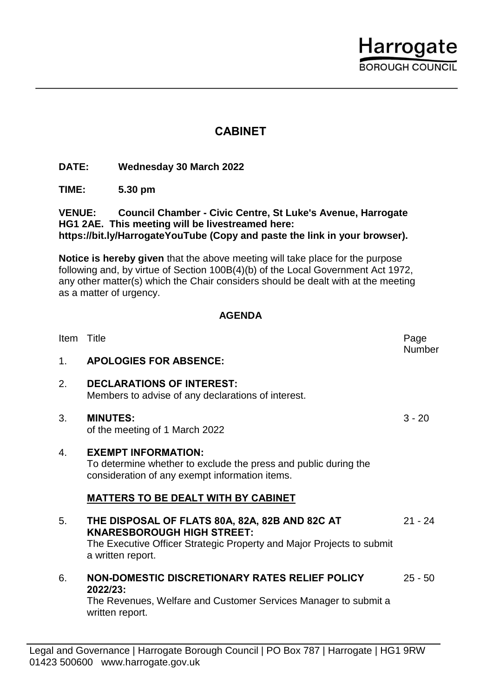

## **CABINET**

**DATE: Wednesday 30 March 2022**

**TIME: 5.30 pm**

**VENUE: Council Chamber - Civic Centre, St Luke's Avenue, Harrogate HG1 2AE. This meeting will be livestreamed here: https://bit.ly/HarrogateYouTube (Copy and paste the link in your browser).**

**Notice is hereby given** that the above meeting will take place for the purpose following and, by virtue of Section 100B(4)(b) of the Local Government Act 1972, any other matter(s) which the Chair considers should be dealt with at the meeting as a matter of urgency.

## **AGENDA**

| <b>Item</b>    | Title                                                                                                                                                                             | Page<br>Number |
|----------------|-----------------------------------------------------------------------------------------------------------------------------------------------------------------------------------|----------------|
| 1 <sub>1</sub> | <b>APOLOGIES FOR ABSENCE:</b>                                                                                                                                                     |                |
| 2.             | <b>DECLARATIONS OF INTEREST:</b><br>Members to advise of any declarations of interest.                                                                                            |                |
| 3.             | <b>MINUTES:</b><br>of the meeting of 1 March 2022                                                                                                                                 | $3 - 20$       |
| 4.             | <b>EXEMPT INFORMATION:</b><br>To determine whether to exclude the press and public during the<br>consideration of any exempt information items.                                   |                |
|                | <b>MATTERS TO BE DEALT WITH BY CABINET</b>                                                                                                                                        |                |
| 5.             | THE DISPOSAL OF FLATS 80A, 82A, 82B AND 82C AT<br><b>KNARESBOROUGH HIGH STREET:</b><br>The Executive Officer Strategic Property and Major Projects to submit<br>a written report. | $21 - 24$      |
| 6.             | NON-DOMESTIC DISCRETIONARY RATES RELIEF POLICY<br>2022/23:<br>The Revenues, Welfare and Customer Services Manager to submit a                                                     | $25 - 50$      |
|                | written report.                                                                                                                                                                   |                |